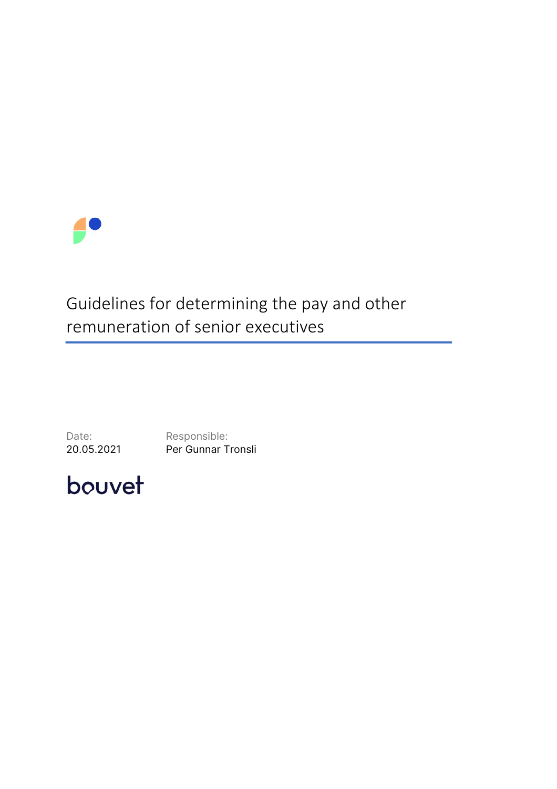

# Guidelines for determining the pay and other remuneration of senior executives

Date: Responsible:<br>
20.05.2021 Per Gunnar T Per Gunnar Tronsli

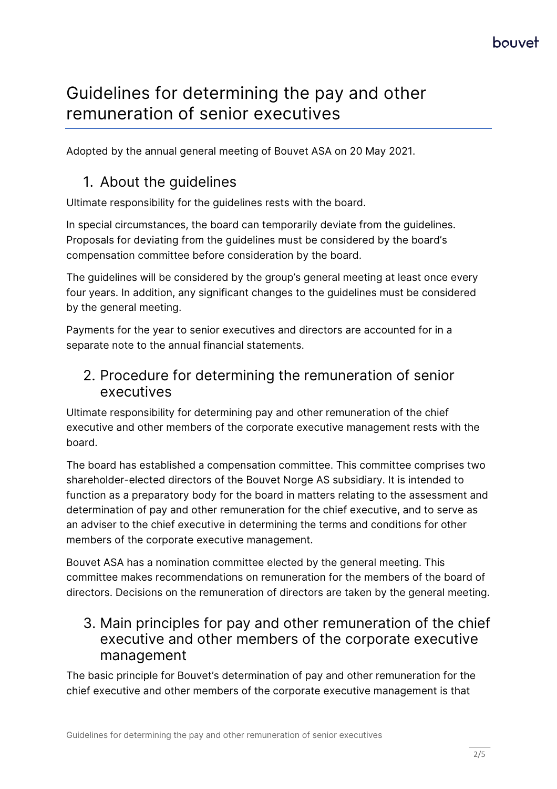# Guidelines for determining the pay and other remuneration of senior executives

Adopted by the annual general meeting of Bouvet ASA on 20 May 2021.

## 1. About the guidelines

Ultimate responsibility for the guidelines rests with the board.

In special circumstances, the board can temporarily deviate from the guidelines. Proposals for deviating from the guidelines must be considered by the board's compensation committee before consideration by the board.

The guidelines will be considered by the group's general meeting at least once every four years. In addition, any significant changes to the guidelines must be considered by the general meeting.

Payments for the year to senior executives and directors are accounted for in a separate note to the annual financial statements.

#### 2. Procedure for determining the remuneration of senior executives

Ultimate responsibility for determining pay and other remuneration of the chief executive and other members of the corporate executive management rests with the board.

The board has established a compensation committee. This committee comprises two shareholder-elected directors of the Bouvet Norge AS subsidiary. It is intended to function as a preparatory body for the board in matters relating to the assessment and determination of pay and other remuneration for the chief executive, and to serve as an adviser to the chief executive in determining the terms and conditions for other members of the corporate executive management.

Bouvet ASA has a nomination committee elected by the general meeting. This committee makes recommendations on remuneration for the members of the board of directors. Decisions on the remuneration of directors are taken by the general meeting.

#### 3. Main principles for pay and other remuneration of the chief executive and other members of the corporate executive management

The basic principle for Bouvet's determination of pay and other remuneration for the chief executive and other members of the corporate executive management is that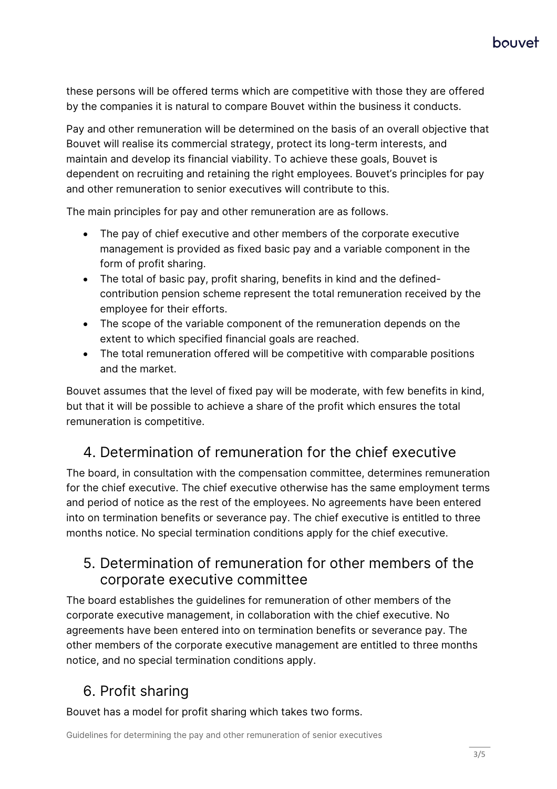## houvet

these persons will be offered terms which are competitive with those they are offered by the companies it is natural to compare Bouvet within the business it conducts.

Pay and other remuneration will be determined on the basis of an overall objective that Bouvet will realise its commercial strategy, protect its long-term interests, and maintain and develop its financial viability. To achieve these goals, Bouvet is dependent on recruiting and retaining the right employees. Bouvet's principles for pay and other remuneration to senior executives will contribute to this.

The main principles for pay and other remuneration are as follows.

- The pay of chief executive and other members of the corporate executive management is provided as fixed basic pay and a variable component in the form of profit sharing.
- The total of basic pay, profit sharing, benefits in kind and the definedcontribution pension scheme represent the total remuneration received by the employee for their efforts.
- The scope of the variable component of the remuneration depends on the extent to which specified financial goals are reached.
- The total remuneration offered will be competitive with comparable positions and the market.

Bouvet assumes that the level of fixed pay will be moderate, with few benefits in kind, but that it will be possible to achieve a share of the profit which ensures the total remuneration is competitive.

## 4. Determination of remuneration for the chief executive

The board, in consultation with the compensation committee, determines remuneration for the chief executive. The chief executive otherwise has the same employment terms and period of notice as the rest of the employees. No agreements have been entered into on termination benefits or severance pay. The chief executive is entitled to three months notice. No special termination conditions apply for the chief executive.

#### 5. Determination of remuneration for other members of the corporate executive committee

The board establishes the guidelines for remuneration of other members of the corporate executive management, in collaboration with the chief executive. No agreements have been entered into on termination benefits or severance pay. The other members of the corporate executive management are entitled to three months notice, and no special termination conditions apply.

# 6. Profit sharing

Bouvet has a model for profit sharing which takes two forms.

Guidelines for determining the pay and other remuneration of senior executives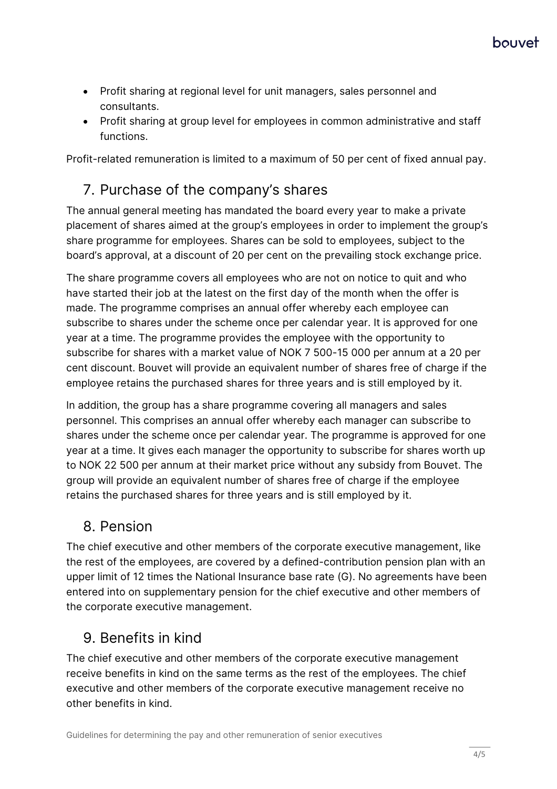- Profit sharing at regional level for unit managers, sales personnel and consultants.
- Profit sharing at group level for employees in common administrative and staff functions.

Profit-related remuneration is limited to a maximum of 50 per cent of fixed annual pay.

# 7. Purchase of the company's shares

The annual general meeting has mandated the board every year to make a private placement of shares aimed at the group's employees in order to implement the group's share programme for employees. Shares can be sold to employees, subject to the board's approval, at a discount of 20 per cent on the prevailing stock exchange price.

The share programme covers all employees who are not on notice to quit and who have started their job at the latest on the first day of the month when the offer is made. The programme comprises an annual offer whereby each employee can subscribe to shares under the scheme once per calendar year. It is approved for one year at a time. The programme provides the employee with the opportunity to subscribe for shares with a market value of NOK 7 500-15 000 per annum at a 20 per cent discount. Bouvet will provide an equivalent number of shares free of charge if the employee retains the purchased shares for three years and is still employed by it.

In addition, the group has a share programme covering all managers and sales personnel. This comprises an annual offer whereby each manager can subscribe to shares under the scheme once per calendar year. The programme is approved for one year at a time. It gives each manager the opportunity to subscribe for shares worth up to NOK 22 500 per annum at their market price without any subsidy from Bouvet. The group will provide an equivalent number of shares free of charge if the employee retains the purchased shares for three years and is still employed by it.

## 8. Pension

The chief executive and other members of the corporate executive management, like the rest of the employees, are covered by a defined-contribution pension plan with an upper limit of 12 times the National Insurance base rate (G). No agreements have been entered into on supplementary pension for the chief executive and other members of the corporate executive management.

# 9. Benefits in kind

The chief executive and other members of the corporate executive management receive benefits in kind on the same terms as the rest of the employees. The chief executive and other members of the corporate executive management receive no other benefits in kind.